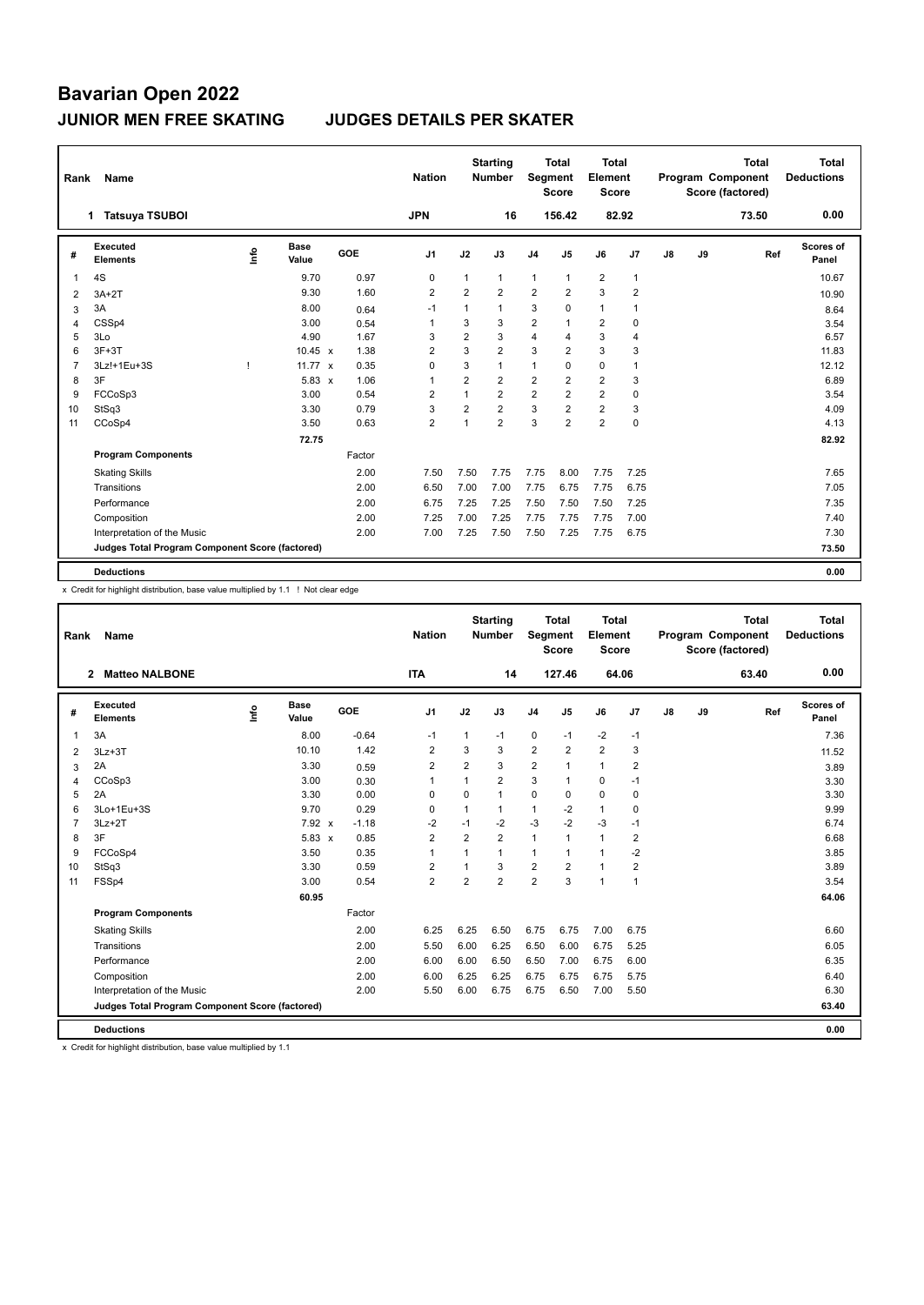| Rank | Name                                            |   |                      |        | <b>Nation</b>  |                | <b>Starting</b><br><b>Number</b> | Segment        | <b>Total</b><br><b>Score</b> | <b>Total</b><br>Element<br><b>Score</b> |                |    |    | <b>Total</b><br><b>Program Component</b><br>Score (factored) | Total<br><b>Deductions</b> |
|------|-------------------------------------------------|---|----------------------|--------|----------------|----------------|----------------------------------|----------------|------------------------------|-----------------------------------------|----------------|----|----|--------------------------------------------------------------|----------------------------|
|      | <b>Tatsuya TSUBOI</b><br>1.                     |   |                      |        | <b>JPN</b>     |                | 16                               |                | 156.42                       |                                         | 82.92          |    |    | 73.50                                                        | 0.00                       |
| #    | <b>Executed</b><br><b>Elements</b>              | ۴ | <b>Base</b><br>Value | GOE    | J <sub>1</sub> | J2             | J3                               | J <sub>4</sub> | J5                           | J6                                      | J7             | J8 | J9 | Ref                                                          | Scores of<br>Panel         |
| 1    | 4S                                              |   | 9.70                 | 0.97   | $\mathbf 0$    | 1              | $\mathbf{1}$                     | 1              | 1                            | $\overline{2}$                          | $\overline{1}$ |    |    |                                                              | 10.67                      |
| 2    | $3A+2T$                                         |   | 9.30                 | 1.60   | 2              | $\overline{2}$ | $\overline{2}$                   | $\overline{2}$ | 2                            | 3                                       | $\overline{2}$ |    |    |                                                              | 10.90                      |
| 3    | 3A                                              |   | 8.00                 | 0.64   | $-1$           | $\mathbf{1}$   | $\mathbf{1}$                     | 3              | 0                            | $\mathbf{1}$                            | 1              |    |    |                                                              | 8.64                       |
| 4    | CSSp4                                           |   | 3.00                 | 0.54   | 1              | 3              | 3                                | 2              |                              | $\overline{2}$                          | 0              |    |    |                                                              | 3.54                       |
| 5    | 3Lo                                             |   | 4.90                 | 1.67   | 3              | $\overline{2}$ | 3                                | 4              | $\overline{4}$               | 3                                       | 4              |    |    |                                                              | 6.57                       |
| 6    | $3F+3T$                                         |   | 10.45 $x$            | 1.38   | $\overline{2}$ | 3              | $\overline{2}$                   | 3              | $\overline{2}$               | 3                                       | 3              |    |    |                                                              | 11.83                      |
| 7    | 3Lz!+1Eu+3S                                     | т | 11.77 $\times$       | 0.35   | $\Omega$       | 3              | $\mathbf{1}$                     | 1              | $\Omega$                     | $\mathbf 0$                             | 1              |    |    |                                                              | 12.12                      |
| 8    | 3F                                              |   | $5.83 \times$        | 1.06   | $\overline{1}$ | $\overline{2}$ | $\overline{2}$                   | $\overline{2}$ | $\overline{2}$               | $\overline{2}$                          | 3              |    |    |                                                              | 6.89                       |
| 9    | FCCoSp3                                         |   | 3.00                 | 0.54   | $\overline{2}$ | 1              | $\overline{2}$                   | $\overline{2}$ | $\overline{2}$               | $\overline{2}$                          | $\mathbf 0$    |    |    |                                                              | 3.54                       |
| 10   | StSq3                                           |   | 3.30                 | 0.79   | 3              | $\overline{2}$ | $\overline{2}$                   | 3              | $\overline{2}$               | $\overline{2}$                          | 3              |    |    |                                                              | 4.09                       |
| 11   | CCoSp4                                          |   | 3.50                 | 0.63   | $\overline{2}$ | 1              | $\overline{2}$                   | 3              | $\overline{2}$               | $\overline{2}$                          | $\mathbf 0$    |    |    |                                                              | 4.13                       |
|      |                                                 |   | 72.75                |        |                |                |                                  |                |                              |                                         |                |    |    |                                                              | 82.92                      |
|      | <b>Program Components</b>                       |   |                      | Factor |                |                |                                  |                |                              |                                         |                |    |    |                                                              |                            |
|      | <b>Skating Skills</b>                           |   |                      | 2.00   | 7.50           | 7.50           | 7.75                             | 7.75           | 8.00                         | 7.75                                    | 7.25           |    |    |                                                              | 7.65                       |
|      | Transitions                                     |   |                      | 2.00   | 6.50           | 7.00           | 7.00                             | 7.75           | 6.75                         | 7.75                                    | 6.75           |    |    |                                                              | 7.05                       |
|      | Performance                                     |   |                      | 2.00   | 6.75           | 7.25           | 7.25                             | 7.50           | 7.50                         | 7.50                                    | 7.25           |    |    |                                                              | 7.35                       |
|      | Composition                                     |   |                      | 2.00   | 7.25           | 7.00           | 7.25                             | 7.75           | 7.75                         | 7.75                                    | 7.00           |    |    |                                                              | 7.40                       |
|      | Interpretation of the Music                     |   |                      | 2.00   | 7.00           | 7.25           | 7.50                             | 7.50           | 7.25                         | 7.75                                    | 6.75           |    |    |                                                              | 7.30                       |
|      | Judges Total Program Component Score (factored) |   |                      |        |                |                |                                  |                |                              |                                         |                |    |    |                                                              | 73.50                      |
|      | <b>Deductions</b>                               |   |                      |        |                |                |                                  |                |                              |                                         |                |    |    |                                                              | 0.00                       |

x Credit for highlight distribution, base value multiplied by 1.1 ! Not clear edge

| Rank           | Name                                            |    |                      |         | <b>Nation</b>  |                | <b>Starting</b><br><b>Number</b> | Segment        | <b>Total</b><br><b>Score</b> | <b>Total</b><br>Element<br><b>Score</b> |                |    |    | <b>Total</b><br>Program Component<br>Score (factored) | <b>Total</b><br><b>Deductions</b> |
|----------------|-------------------------------------------------|----|----------------------|---------|----------------|----------------|----------------------------------|----------------|------------------------------|-----------------------------------------|----------------|----|----|-------------------------------------------------------|-----------------------------------|
|                | <b>Matteo NALBONE</b><br>$\overline{2}$         |    |                      |         | <b>ITA</b>     |                | 14                               |                | 127.46                       | 64.06                                   |                |    |    | 63.40                                                 | 0.00                              |
| #              | Executed<br><b>Elements</b>                     | ۴ů | <b>Base</b><br>Value | GOE     | J <sub>1</sub> | J2             | J3                               | J <sub>4</sub> | J5                           | J6                                      | J7             | J8 | J9 | Ref                                                   | Scores of<br>Panel                |
| 1              | 3A                                              |    | 8.00                 | $-0.64$ | $-1$           | 1              | $-1$                             | 0              | $-1$                         | $-2$                                    | $-1$           |    |    |                                                       | 7.36                              |
| 2              | $3Lz + 3T$                                      |    | 10.10                | 1.42    | $\overline{2}$ | 3              | 3                                | $\overline{2}$ | $\overline{2}$               | $\overline{2}$                          | 3              |    |    |                                                       | 11.52                             |
| 3              | 2A                                              |    | 3.30                 | 0.59    | 2              | 2              | 3                                | $\overline{2}$ | 1                            | $\mathbf{1}$                            | 2              |    |    |                                                       | 3.89                              |
| $\overline{4}$ | CCoSp3                                          |    | 3.00                 | 0.30    | 1              | $\mathbf{1}$   | $\overline{2}$                   | 3              | 1                            | $\mathbf 0$                             | $-1$           |    |    |                                                       | 3.30                              |
| 5              | 2A                                              |    | 3.30                 | 0.00    | $\Omega$       | $\Omega$       | 1                                | $\mathbf 0$    | $\Omega$                     | $\mathbf 0$                             | 0              |    |    |                                                       | 3.30                              |
| 6              | 3Lo+1Eu+3S                                      |    | 9.70                 | 0.29    | 0              | 1              | 1                                | $\mathbf{1}$   | $-2$                         | $\mathbf{1}$                            | 0              |    |    |                                                       | 9.99                              |
| 7              | $3Lz + 2T$                                      |    | 7.92 x               | $-1.18$ | $-2$           | $-1$           | $-2$                             | $-3$           | $-2$                         | $-3$                                    | $-1$           |    |    |                                                       | 6.74                              |
| 8              | 3F                                              |    | $5.83 \times$        | 0.85    | $\overline{2}$ | $\overline{2}$ | $\overline{2}$                   | $\mathbf{1}$   | $\mathbf{1}$                 | $\mathbf{1}$                            | $\overline{2}$ |    |    |                                                       | 6.68                              |
| 9              | FCCoSp4                                         |    | 3.50                 | 0.35    | 1              | 1              | 1                                | $\mathbf{1}$   | 1                            | $\mathbf{1}$                            | $-2$           |    |    |                                                       | 3.85                              |
| 10             | StSq3                                           |    | 3.30                 | 0.59    | $\overline{2}$ | 1              | 3                                | $\overline{2}$ | $\overline{2}$               | $\mathbf{1}$                            | $\overline{2}$ |    |    |                                                       | 3.89                              |
| 11             | FSSp4                                           |    | 3.00                 | 0.54    | $\overline{2}$ | $\overline{2}$ | $\overline{2}$                   | $\overline{2}$ | 3                            | $\mathbf{1}$                            | $\mathbf{1}$   |    |    |                                                       | 3.54                              |
|                |                                                 |    | 60.95                |         |                |                |                                  |                |                              |                                         |                |    |    |                                                       | 64.06                             |
|                | <b>Program Components</b>                       |    |                      | Factor  |                |                |                                  |                |                              |                                         |                |    |    |                                                       |                                   |
|                | <b>Skating Skills</b>                           |    |                      | 2.00    | 6.25           | 6.25           | 6.50                             | 6.75           | 6.75                         | 7.00                                    | 6.75           |    |    |                                                       | 6.60                              |
|                | Transitions                                     |    |                      | 2.00    | 5.50           | 6.00           | 6.25                             | 6.50           | 6.00                         | 6.75                                    | 5.25           |    |    |                                                       | 6.05                              |
|                | Performance                                     |    |                      | 2.00    | 6.00           | 6.00           | 6.50                             | 6.50           | 7.00                         | 6.75                                    | 6.00           |    |    |                                                       | 6.35                              |
|                | Composition                                     |    |                      | 2.00    | 6.00           | 6.25           | 6.25                             | 6.75           | 6.75                         | 6.75                                    | 5.75           |    |    |                                                       | 6.40                              |
|                | Interpretation of the Music                     |    |                      | 2.00    | 5.50           | 6.00           | 6.75                             | 6.75           | 6.50                         | 7.00                                    | 5.50           |    |    |                                                       | 6.30                              |
|                | Judges Total Program Component Score (factored) |    |                      |         |                |                |                                  |                |                              |                                         |                |    |    |                                                       | 63.40                             |
|                | <b>Deductions</b>                               |    |                      |         |                |                |                                  |                |                              |                                         |                |    |    |                                                       | 0.00                              |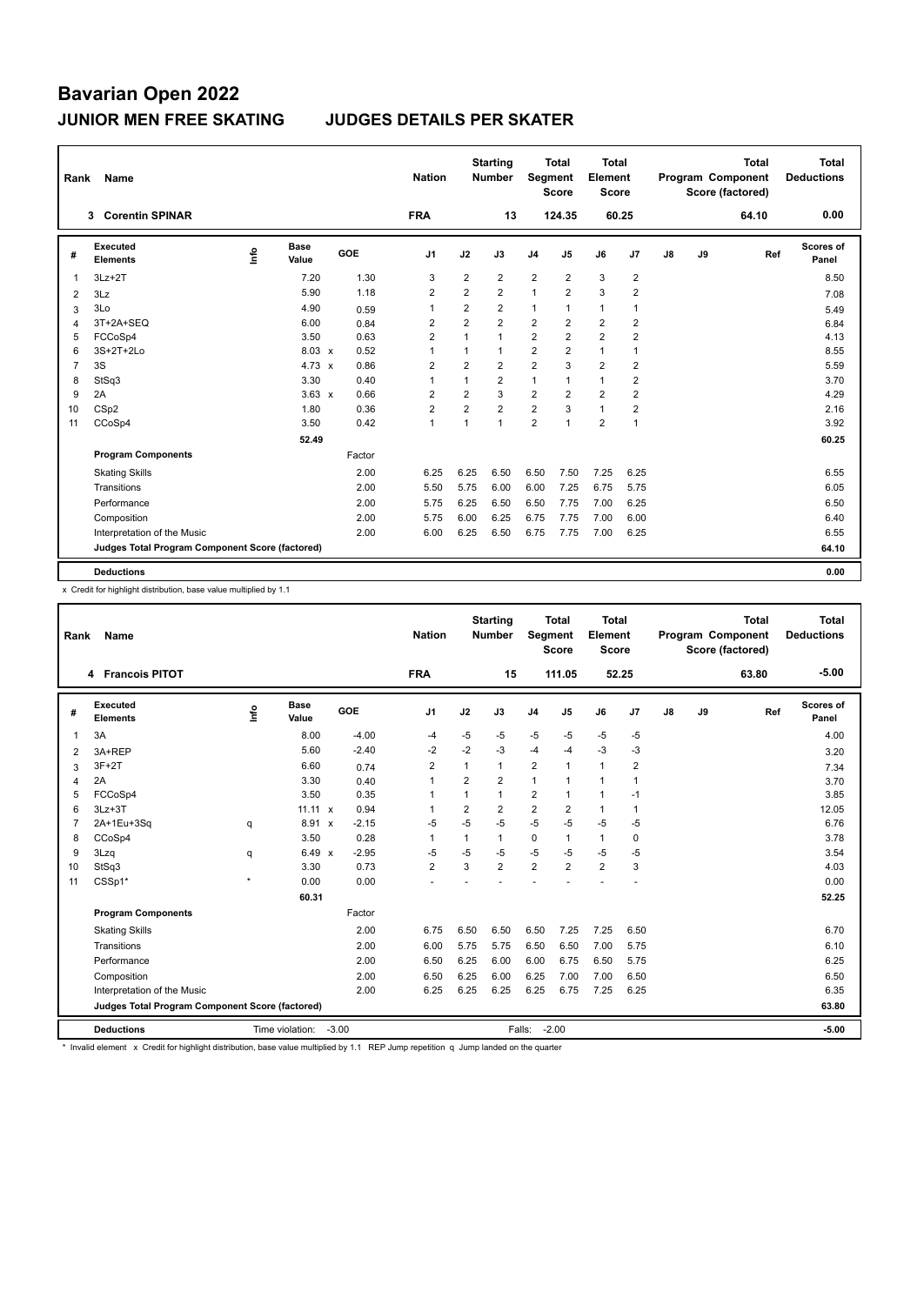| Rank | Name                                            |      |                      |        | <b>Nation</b>  |                | <b>Starting</b><br><b>Number</b> | Segment        | <b>Total</b><br><b>Score</b> | <b>Total</b><br>Element<br><b>Score</b> |                         |    |    | <b>Total</b><br><b>Program Component</b><br>Score (factored) | Total<br><b>Deductions</b> |
|------|-------------------------------------------------|------|----------------------|--------|----------------|----------------|----------------------------------|----------------|------------------------------|-----------------------------------------|-------------------------|----|----|--------------------------------------------------------------|----------------------------|
|      | <b>Corentin SPINAR</b><br>3                     |      |                      |        | <b>FRA</b>     |                | 13                               |                | 124.35                       |                                         | 60.25                   |    |    | 64.10                                                        | 0.00                       |
| #    | Executed<br><b>Elements</b>                     | lnfo | <b>Base</b><br>Value | GOE    | J <sub>1</sub> | J2             | J3                               | J <sub>4</sub> | J <sub>5</sub>               | J6                                      | J7                      | J8 | J9 | Ref                                                          | Scores of<br>Panel         |
| 1    | $3Lz + 2T$                                      |      | 7.20                 | 1.30   | 3              | $\overline{2}$ | $\overline{2}$                   | $\overline{2}$ | $\overline{2}$               | 3                                       | $\overline{2}$          |    |    |                                                              | 8.50                       |
| 2    | 3Lz                                             |      | 5.90                 | 1.18   | 2              | $\overline{2}$ | $\overline{2}$                   | 1              | $\overline{2}$               | 3                                       | $\overline{2}$          |    |    |                                                              | 7.08                       |
| 3    | 3Lo                                             |      | 4.90                 | 0.59   | $\overline{1}$ | $\overline{2}$ | $\overline{2}$                   | 1              | $\overline{1}$               | $\mathbf{1}$                            | $\overline{1}$          |    |    |                                                              | 5.49                       |
| 4    | 3T+2A+SEQ                                       |      | 6.00                 | 0.84   | 2              | $\overline{2}$ | $\overline{2}$                   | $\overline{2}$ | $\overline{2}$               | $\overline{2}$                          | $\overline{\mathbf{c}}$ |    |    |                                                              | 6.84                       |
| 5    | FCCoSp4                                         |      | 3.50                 | 0.63   | $\overline{2}$ | $\mathbf{1}$   | $\mathbf{1}$                     | $\overline{2}$ | $\overline{2}$               | $\overline{2}$                          | $\overline{2}$          |    |    |                                                              | 4.13                       |
| 6    | $3S+2T+2Lo$                                     |      | $8.03 \times$        | 0.52   | $\overline{1}$ | 1              | $\mathbf{1}$                     | $\overline{2}$ | $\overline{2}$               | $\mathbf{1}$                            | $\overline{1}$          |    |    |                                                              | 8.55                       |
| 7    | 3S                                              |      | 4.73 $\times$        | 0.86   | $\overline{2}$ | $\overline{2}$ | $\overline{2}$                   | $\overline{2}$ | 3                            | $\overline{2}$                          | $\overline{2}$          |    |    |                                                              | 5.59                       |
| 8    | StSq3                                           |      | 3.30                 | 0.40   | $\overline{1}$ | $\mathbf{1}$   | $\overline{2}$                   | 1              | $\overline{1}$               | $\mathbf{1}$                            | $\overline{2}$          |    |    |                                                              | 3.70                       |
| 9    | 2A                                              |      | $3.63 \times$        | 0.66   | $\overline{2}$ | $\overline{2}$ | 3                                | $\overline{2}$ | $\overline{2}$               | $\overline{2}$                          | $\overline{2}$          |    |    |                                                              | 4.29                       |
| 10   | CSp2                                            |      | 1.80                 | 0.36   | $\overline{2}$ | $\overline{2}$ | $\overline{2}$                   | $\overline{2}$ | 3                            | $\mathbf{1}$                            | $\overline{2}$          |    |    |                                                              | 2.16                       |
| 11   | CCoSp4                                          |      | 3.50                 | 0.42   | $\mathbf{1}$   | $\mathbf{1}$   | $\overline{1}$                   | 2              | 1                            | $\overline{2}$                          | $\overline{1}$          |    |    |                                                              | 3.92                       |
|      |                                                 |      | 52.49                |        |                |                |                                  |                |                              |                                         |                         |    |    |                                                              | 60.25                      |
|      | <b>Program Components</b>                       |      |                      | Factor |                |                |                                  |                |                              |                                         |                         |    |    |                                                              |                            |
|      | <b>Skating Skills</b>                           |      |                      | 2.00   | 6.25           | 6.25           | 6.50                             | 6.50           | 7.50                         | 7.25                                    | 6.25                    |    |    |                                                              | 6.55                       |
|      | Transitions                                     |      |                      | 2.00   | 5.50           | 5.75           | 6.00                             | 6.00           | 7.25                         | 6.75                                    | 5.75                    |    |    |                                                              | 6.05                       |
|      | Performance                                     |      |                      | 2.00   | 5.75           | 6.25           | 6.50                             | 6.50           | 7.75                         | 7.00                                    | 6.25                    |    |    |                                                              | 6.50                       |
|      | Composition                                     |      |                      | 2.00   | 5.75           | 6.00           | 6.25                             | 6.75           | 7.75                         | 7.00                                    | 6.00                    |    |    |                                                              | 6.40                       |
|      | Interpretation of the Music                     |      |                      | 2.00   | 6.00           | 6.25           | 6.50                             | 6.75           | 7.75                         | 7.00                                    | 6.25                    |    |    |                                                              | 6.55                       |
|      | Judges Total Program Component Score (factored) |      |                      |        |                |                |                                  |                |                              |                                         |                         |    |    |                                                              | 64.10                      |
|      | <b>Deductions</b>                               |      |                      |        |                |                |                                  |                |                              |                                         |                         |    |    |                                                              | 0.00                       |

x Credit for highlight distribution, base value multiplied by 1.1

| Rank           | Name                                            |         |                      |                         | <b>Nation</b>  |                | <b>Starting</b><br><b>Number</b> | Segment                 | <b>Total</b><br><b>Score</b> | Total<br>Element<br><b>Score</b> |                |               |    | <b>Total</b><br>Program Component<br>Score (factored) | Total<br><b>Deductions</b> |
|----------------|-------------------------------------------------|---------|----------------------|-------------------------|----------------|----------------|----------------------------------|-------------------------|------------------------------|----------------------------------|----------------|---------------|----|-------------------------------------------------------|----------------------------|
|                | 4 Francois PITOT                                |         |                      |                         | <b>FRA</b>     |                | 15                               |                         | 111.05                       |                                  | 52.25          |               |    | 63.80                                                 | $-5.00$                    |
| #              | Executed<br><b>Elements</b>                     | ۴       | <b>Base</b><br>Value | GOE                     | J <sub>1</sub> | J2             | J3                               | J <sub>4</sub>          | J5                           | J6                               | J7             | $\mathsf{J}8$ | J9 | Ref                                                   | Scores of<br>Panel         |
| 1              | 3A                                              |         | 8.00                 | $-4.00$                 | -4             | $-5$           | $-5$                             | $-5$                    | $-5$                         | $-5$                             | $-5$           |               |    |                                                       | 4.00                       |
| 2              | 3A+REP                                          |         | 5.60                 | $-2.40$                 | -2             | $-2$           | -3                               | $-4$                    | $-4$                         | $-3$                             | $-3$           |               |    |                                                       | 3.20                       |
| 3              | $3F+2T$                                         |         | 6.60                 | 0.74                    | $\overline{2}$ | 1              | 1                                | $\overline{2}$          | 1                            | $\overline{1}$                   | $\overline{2}$ |               |    |                                                       | 7.34                       |
| $\overline{4}$ | 2A                                              |         | 3.30                 | 0.40                    | 1              | $\overline{2}$ | $\overline{2}$                   | $\mathbf{1}$            | 1                            | 1                                | $\mathbf{1}$   |               |    |                                                       | 3.70                       |
| 5              | FCCoSp4                                         |         | 3.50                 | 0.35                    | 1              |                | 1                                | $\overline{\mathbf{c}}$ |                              | 1                                | $-1$           |               |    |                                                       | 3.85                       |
| 6              | $3Lz + 3T$                                      |         | $11.11 \times$       | 0.94                    | 1              | $\overline{2}$ | $\overline{2}$                   | $\overline{2}$          | $\overline{2}$               | $\mathbf{1}$                     | $\mathbf{1}$   |               |    |                                                       | 12.05                      |
| 7              | 2A+1Eu+3Sq                                      | q       | 8.91                 | $-2.15$<br>$\mathsf{x}$ | $-5$           | $-5$           | $-5$                             | $-5$                    | $-5$                         | $-5$                             | $-5$           |               |    |                                                       | 6.76                       |
| 8              | CCoSp4                                          |         | 3.50                 | 0.28                    | 1              | 1              | 1                                | $\mathbf 0$             | 1                            | $\mathbf{1}$                     | 0              |               |    |                                                       | 3.78                       |
| 9              | 3Lzq                                            | q       | $6.49 \times$        | $-2.95$                 | $-5$           | $-5$           | $-5$                             | $-5$                    | $-5$                         | $-5$                             | $-5$           |               |    |                                                       | 3.54                       |
| 10             | StSq3                                           |         | 3.30                 | 0.73                    | $\overline{2}$ | 3              | $\overline{2}$                   | $\overline{2}$          | $\overline{2}$               | $\overline{2}$                   | 3              |               |    |                                                       | 4.03                       |
| 11             | CSSp1*                                          | $\star$ | 0.00                 | 0.00                    |                |                |                                  |                         |                              |                                  |                |               |    |                                                       | 0.00                       |
|                |                                                 |         | 60.31                |                         |                |                |                                  |                         |                              |                                  |                |               |    |                                                       | 52.25                      |
|                | <b>Program Components</b>                       |         |                      | Factor                  |                |                |                                  |                         |                              |                                  |                |               |    |                                                       |                            |
|                | <b>Skating Skills</b>                           |         |                      | 2.00                    | 6.75           | 6.50           | 6.50                             | 6.50                    | 7.25                         | 7.25                             | 6.50           |               |    |                                                       | 6.70                       |
|                | Transitions                                     |         |                      | 2.00                    | 6.00           | 5.75           | 5.75                             | 6.50                    | 6.50                         | 7.00                             | 5.75           |               |    |                                                       | 6.10                       |
|                | Performance                                     |         |                      | 2.00                    | 6.50           | 6.25           | 6.00                             | 6.00                    | 6.75                         | 6.50                             | 5.75           |               |    |                                                       | 6.25                       |
|                | Composition                                     |         |                      | 2.00                    | 6.50           | 6.25           | 6.00                             | 6.25                    | 7.00                         | 7.00                             | 6.50           |               |    |                                                       | 6.50                       |
|                | Interpretation of the Music                     |         |                      | 2.00                    | 6.25           | 6.25           | 6.25                             | 6.25                    | 6.75                         | 7.25                             | 6.25           |               |    |                                                       | 6.35                       |
|                | Judges Total Program Component Score (factored) |         |                      |                         |                |                |                                  |                         |                              |                                  |                |               |    |                                                       | 63.80                      |
|                | <b>Deductions</b>                               |         | Time violation:      | $-3.00$                 |                |                |                                  | Falls:                  | $-2.00$                      |                                  |                |               |    |                                                       | $-5.00$                    |

\* Invalid element x Credit for highlight distribution, base value multiplied by 1.1 REP Jump repetition q Jump landed on the quarter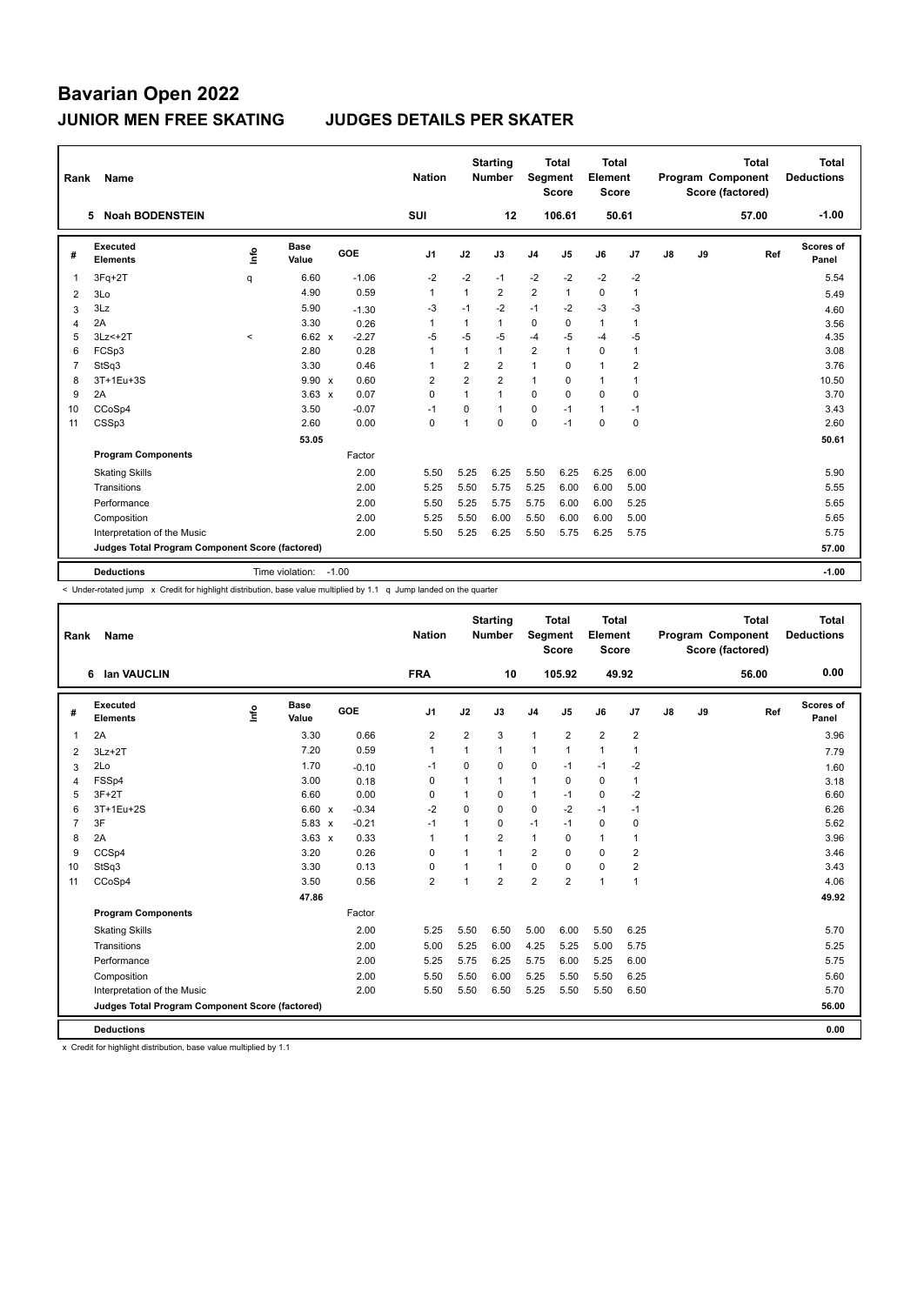| Rank           | Name                                            |         |                 |         | <b>Nation</b>  |                | <b>Starting</b><br><b>Number</b> | Segment        | <b>Total</b><br><b>Score</b> | <b>Total</b><br>Element<br><b>Score</b> |                |    |    | <b>Total</b><br>Program Component<br>Score (factored) | Total<br><b>Deductions</b> |
|----------------|-------------------------------------------------|---------|-----------------|---------|----------------|----------------|----------------------------------|----------------|------------------------------|-----------------------------------------|----------------|----|----|-------------------------------------------------------|----------------------------|
|                | <b>Noah BODENSTEIN</b><br>5.                    |         |                 |         | <b>SUI</b>     |                | 12                               |                | 106.61                       | 50.61                                   |                |    |    | 57.00                                                 | $-1.00$                    |
| #              | Executed<br><b>Elements</b>                     | Info    | Base<br>Value   | GOE     | J <sub>1</sub> | J2             | J3                               | J <sub>4</sub> | J5                           | J6                                      | J7             | J8 | J9 | Ref                                                   | Scores of<br>Panel         |
| 1              | $3Fq+2T$                                        | q       | 6.60            | $-1.06$ | $-2$           | $-2$           | $-1$                             | $-2$           | $-2$                         | $-2$                                    | $-2$           |    |    |                                                       | 5.54                       |
| 2              | 3Lo                                             |         | 4.90            | 0.59    | $\overline{1}$ | 1              | 2                                | $\overline{2}$ | 1                            | 0                                       | 1              |    |    |                                                       | 5.49                       |
| 3              | 3Lz                                             |         | 5.90            | $-1.30$ | $-3$           | $-1$           | $-2$                             | $-1$           | -2                           | $-3$                                    | -3             |    |    |                                                       | 4.60                       |
| 4              | 2A                                              |         | 3.30            | 0.26    | $\mathbf 1$    | 1              | 1                                | $\mathbf 0$    | 0                            | $\mathbf{1}$                            | $\overline{1}$ |    |    |                                                       | 3.56                       |
| 5              | $3Lz<+2T$                                       | $\prec$ | $6.62 \times$   | $-2.27$ | $-5$           | $-5$           | $-5$                             | $-4$           | $-5$                         | $-4$                                    | $-5$           |    |    |                                                       | 4.35                       |
| 6              | FCSp3                                           |         | 2.80            | 0.28    | $\mathbf{1}$   | $\mathbf{1}$   | 1                                | $\overline{2}$ | $\mathbf{1}$                 | $\mathbf 0$                             | $\mathbf{1}$   |    |    |                                                       | 3.08                       |
| $\overline{7}$ | StSq3                                           |         | 3.30            | 0.46    | $\overline{1}$ | $\overline{2}$ | $\overline{2}$                   | $\mathbf{1}$   | $\Omega$                     | $\mathbf{1}$                            | 2              |    |    |                                                       | 3.76                       |
| 8              | 3T+1Eu+3S                                       |         | 9.90 x          | 0.60    | $\overline{2}$ | $\overline{2}$ | $\overline{2}$                   | $\mathbf{1}$   | $\Omega$                     | $\mathbf{1}$                            | $\overline{1}$ |    |    |                                                       | 10.50                      |
| 9              | 2A                                              |         | $3.63 \times$   | 0.07    | $\Omega$       | $\mathbf{1}$   | 1                                | 0              | $\Omega$                     | $\Omega$                                | 0              |    |    |                                                       | 3.70                       |
| 10             | CCoSp4                                          |         | 3.50            | $-0.07$ | $-1$           | $\Omega$       | 1                                | $\mathbf 0$    | $-1$                         | $\mathbf{1}$                            | $-1$           |    |    |                                                       | 3.43                       |
| 11             | CSSp3                                           |         | 2.60            | 0.00    | 0              | 1              | $\Omega$                         | 0              | $-1$                         | 0                                       | 0              |    |    |                                                       | 2.60                       |
|                |                                                 |         | 53.05           |         |                |                |                                  |                |                              |                                         |                |    |    |                                                       | 50.61                      |
|                | <b>Program Components</b>                       |         |                 | Factor  |                |                |                                  |                |                              |                                         |                |    |    |                                                       |                            |
|                | <b>Skating Skills</b>                           |         |                 | 2.00    | 5.50           | 5.25           | 6.25                             | 5.50           | 6.25                         | 6.25                                    | 6.00           |    |    |                                                       | 5.90                       |
|                | Transitions                                     |         |                 | 2.00    | 5.25           | 5.50           | 5.75                             | 5.25           | 6.00                         | 6.00                                    | 5.00           |    |    |                                                       | 5.55                       |
|                | Performance                                     |         |                 | 2.00    | 5.50           | 5.25           | 5.75                             | 5.75           | 6.00                         | 6.00                                    | 5.25           |    |    |                                                       | 5.65                       |
|                | Composition                                     |         |                 | 2.00    | 5.25           | 5.50           | 6.00                             | 5.50           | 6.00                         | 6.00                                    | 5.00           |    |    |                                                       | 5.65                       |
|                | Interpretation of the Music                     |         |                 | 2.00    | 5.50           | 5.25           | 6.25                             | 5.50           | 5.75                         | 6.25                                    | 5.75           |    |    |                                                       | 5.75                       |
|                | Judges Total Program Component Score (factored) |         |                 |         |                |                |                                  |                |                              |                                         |                |    |    |                                                       | 57.00                      |
|                | <b>Deductions</b>                               |         | Time violation: | $-1.00$ |                |                |                                  |                |                              |                                         |                |    |    |                                                       | $-1.00$                    |

< Under-rotated jump x Credit for highlight distribution, base value multiplied by 1.1 q Jump landed on the quarter

| Rank           | <b>Name</b>                                     |                                  |                      |            | <b>Nation</b>  |                | <b>Starting</b><br>Number | Segment        | <b>Total</b><br><b>Score</b> | <b>Total</b><br>Element<br><b>Score</b> |                |               |    | <b>Total</b><br>Program Component<br>Score (factored) | <b>Total</b><br><b>Deductions</b> |
|----------------|-------------------------------------------------|----------------------------------|----------------------|------------|----------------|----------------|---------------------------|----------------|------------------------------|-----------------------------------------|----------------|---------------|----|-------------------------------------------------------|-----------------------------------|
|                | <b>Ian VAUCLIN</b><br>6                         |                                  |                      |            | <b>FRA</b>     |                | 10                        |                | 105.92                       |                                         | 49.92          |               |    | 56.00                                                 | 0.00                              |
| #              | Executed<br><b>Elements</b>                     | $\mathop{\mathsf{Int}}\nolimits$ | <b>Base</b><br>Value | <b>GOE</b> | J <sub>1</sub> | J2             | J3                        | J <sub>4</sub> | J5                           | J6                                      | J7             | $\mathsf{J}8$ | J9 | Ref                                                   | <b>Scores of</b><br>Panel         |
| 1              | 2A                                              |                                  | 3.30                 | 0.66       | $\overline{2}$ | $\overline{2}$ | 3                         | $\mathbf{1}$   | $\overline{2}$               | $\overline{2}$                          | $\overline{2}$ |               |    |                                                       | 3.96                              |
| 2              | $3Lz + 2T$                                      |                                  | 7.20                 | 0.59       | $\overline{1}$ | 1              | 1                         | $\mathbf{1}$   | $\mathbf{1}$                 | 1                                       | $\overline{1}$ |               |    |                                                       | 7.79                              |
| 3              | 2Lo                                             |                                  | 1.70                 | $-0.10$    | $-1$           | 0              | 0                         | $\mathbf 0$    | $-1$                         | $-1$                                    | $-2$           |               |    |                                                       | 1.60                              |
| 4              | FSSp4                                           |                                  | 3.00                 | 0.18       | 0              | 1              | $\mathbf{1}$              | $\mathbf{1}$   | 0                            | 0                                       | $\overline{1}$ |               |    |                                                       | 3.18                              |
| 5              | $3F+2T$                                         |                                  | 6.60                 | 0.00       | 0              | 1              | 0                         | $\mathbf{1}$   | $-1$                         | 0                                       | $-2$           |               |    |                                                       | 6.60                              |
| 6              | 3T+1Eu+2S                                       |                                  | $6.60 \times$        | $-0.34$    | $-2$           | $\mathbf 0$    | $\Omega$                  | $\mathbf 0$    | $-2$                         | $-1$                                    | $-1$           |               |    |                                                       | 6.26                              |
| $\overline{7}$ | 3F                                              |                                  | $5.83 \times$        | $-0.21$    | $-1$           | 1              | 0                         | $-1$           | $-1$                         | $\mathbf 0$                             | 0              |               |    |                                                       | 5.62                              |
| 8              | 2A                                              |                                  | $3.63 \times$        | 0.33       | $\mathbf{1}$   | 1              | $\overline{2}$            | $\mathbf{1}$   | 0                            | $\mathbf{1}$                            | $\overline{1}$ |               |    |                                                       | 3.96                              |
| 9              | CCSp4                                           |                                  | 3.20                 | 0.26       | 0              | 1              | 1                         | $\overline{2}$ | 0                            | 0                                       | 2              |               |    |                                                       | 3.46                              |
| 10             | StSq3                                           |                                  | 3.30                 | 0.13       | 0              | 1              | 1                         | $\mathbf 0$    | $\mathbf 0$                  | 0                                       | $\overline{2}$ |               |    |                                                       | 3.43                              |
| 11             | CCoSp4                                          |                                  | 3.50                 | 0.56       | $\overline{2}$ | 1              | $\overline{2}$            | $\overline{2}$ | $\overline{2}$               | 1                                       | $\overline{1}$ |               |    |                                                       | 4.06                              |
|                |                                                 |                                  | 47.86                |            |                |                |                           |                |                              |                                         |                |               |    |                                                       | 49.92                             |
|                | <b>Program Components</b>                       |                                  |                      | Factor     |                |                |                           |                |                              |                                         |                |               |    |                                                       |                                   |
|                | <b>Skating Skills</b>                           |                                  |                      | 2.00       | 5.25           | 5.50           | 6.50                      | 5.00           | 6.00                         | 5.50                                    | 6.25           |               |    |                                                       | 5.70                              |
|                | Transitions                                     |                                  |                      | 2.00       | 5.00           | 5.25           | 6.00                      | 4.25           | 5.25                         | 5.00                                    | 5.75           |               |    |                                                       | 5.25                              |
|                | Performance                                     |                                  |                      | 2.00       | 5.25           | 5.75           | 6.25                      | 5.75           | 6.00                         | 5.25                                    | 6.00           |               |    |                                                       | 5.75                              |
|                | Composition                                     |                                  |                      | 2.00       | 5.50           | 5.50           | 6.00                      | 5.25           | 5.50                         | 5.50                                    | 6.25           |               |    |                                                       | 5.60                              |
|                | Interpretation of the Music                     |                                  |                      | 2.00       | 5.50           | 5.50           | 6.50                      | 5.25           | 5.50                         | 5.50                                    | 6.50           |               |    |                                                       | 5.70                              |
|                | Judges Total Program Component Score (factored) |                                  |                      |            |                |                |                           |                |                              |                                         |                |               |    |                                                       | 56.00                             |
|                | <b>Deductions</b>                               |                                  |                      |            |                |                |                           |                |                              |                                         |                |               |    |                                                       | 0.00                              |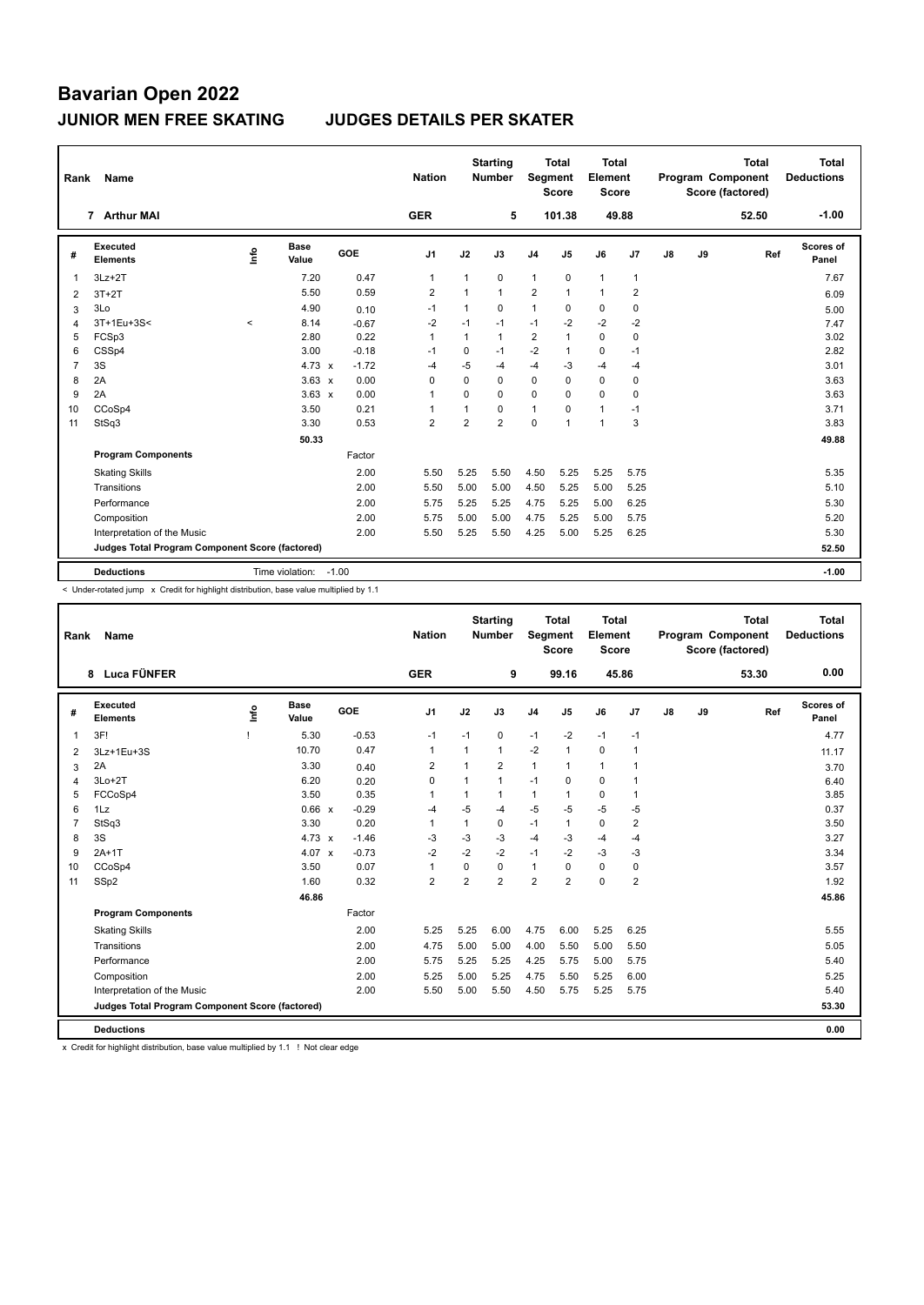| Rank           | Name                                            |         |                       |         | <b>Nation</b>  |                | <b>Starting</b><br><b>Number</b> | Segment        | <b>Total</b><br><b>Score</b> | Total<br>Element<br>Score |                |    |    | <b>Total</b><br><b>Program Component</b><br>Score (factored) | <b>Total</b><br><b>Deductions</b> |
|----------------|-------------------------------------------------|---------|-----------------------|---------|----------------|----------------|----------------------------------|----------------|------------------------------|---------------------------|----------------|----|----|--------------------------------------------------------------|-----------------------------------|
|                | 7 Arthur MAI                                    |         |                       |         | <b>GER</b>     |                | 5                                |                | 101.38                       |                           | 49.88          |    |    | 52.50                                                        | $-1.00$                           |
| #              | Executed<br><b>Elements</b>                     | ١nfo    | <b>Base</b><br>Value  | GOE     | J <sub>1</sub> | J2             | J3                               | J <sub>4</sub> | J <sub>5</sub>               | J6                        | J <sub>7</sub> | J8 | J9 | Ref                                                          | Scores of<br>Panel                |
| 1              | $3Lz + 2T$                                      |         | 7.20                  | 0.47    | $\mathbf{1}$   | $\mathbf{1}$   | $\mathbf 0$                      | $\mathbf{1}$   | $\mathbf 0$                  | $\mathbf{1}$              | $\overline{1}$ |    |    |                                                              | 7.67                              |
| $\overline{2}$ | $3T+2T$                                         |         | 5.50                  | 0.59    | $\overline{2}$ | $\mathbf{1}$   | $\mathbf{1}$                     | $\overline{2}$ | $\mathbf{1}$                 | $\mathbf{1}$              | $\overline{2}$ |    |    |                                                              | 6.09                              |
| 3              | 3Lo                                             |         | 4.90                  | 0.10    | $-1$           | $\mathbf{1}$   | 0                                | 1              | 0                            | $\mathbf 0$               | 0              |    |    |                                                              | 5.00                              |
| 4              | 3T+1Eu+3S<                                      | $\prec$ | 8.14                  | $-0.67$ | $-2$           | $-1$           | $-1$                             | $-1$           | $-2$                         | $-2$                      | $-2$           |    |    |                                                              | 7.47                              |
| 5              | FCSp3                                           |         | 2.80                  | 0.22    | $\mathbf{1}$   | $\mathbf{1}$   | $\mathbf{1}$                     | $\overline{2}$ |                              | $\mathbf 0$               | 0              |    |    |                                                              | 3.02                              |
| 6              | CSSp4                                           |         | 3.00                  | $-0.18$ | $-1$           | $\mathbf 0$    | $-1$                             | $-2$           | $\overline{1}$               | $\mathbf 0$               | $-1$           |    |    |                                                              | 2.82                              |
| 7              | 3S                                              |         | 4.73 $\times$         | $-1.72$ | $-4$           | $-5$           | -4                               | $-4$           | $-3$                         | $-4$                      | $-4$           |    |    |                                                              | 3.01                              |
| 8              | 2A                                              |         | $3.63 \times$         | 0.00    | $\Omega$       | $\Omega$       | $\Omega$                         | 0              | $\Omega$                     | $\mathbf 0$               | 0              |    |    |                                                              | 3.63                              |
| 9              | 2A                                              |         | $3.63 \times$         | 0.00    | 1              | $\mathbf 0$    | $\Omega$                         | 0              | $\mathbf 0$                  | $\mathbf 0$               | 0              |    |    |                                                              | 3.63                              |
| 10             | CCoSp4                                          |         | 3.50                  | 0.21    | 1              | $\overline{1}$ | $\Omega$                         | $\mathbf{1}$   | $\mathbf 0$                  | $\mathbf{1}$              | $-1$           |    |    |                                                              | 3.71                              |
| 11             | StSq3                                           |         | 3.30                  | 0.53    | $\overline{2}$ | $\overline{2}$ | $\overline{2}$                   | 0              | $\overline{1}$               | $\mathbf{1}$              | 3              |    |    |                                                              | 3.83                              |
|                |                                                 |         | 50.33                 |         |                |                |                                  |                |                              |                           |                |    |    |                                                              | 49.88                             |
|                | <b>Program Components</b>                       |         |                       | Factor  |                |                |                                  |                |                              |                           |                |    |    |                                                              |                                   |
|                | <b>Skating Skills</b>                           |         |                       | 2.00    | 5.50           | 5.25           | 5.50                             | 4.50           | 5.25                         | 5.25                      | 5.75           |    |    |                                                              | 5.35                              |
|                | Transitions                                     |         |                       | 2.00    | 5.50           | 5.00           | 5.00                             | 4.50           | 5.25                         | 5.00                      | 5.25           |    |    |                                                              | 5.10                              |
|                | Performance                                     |         |                       | 2.00    | 5.75           | 5.25           | 5.25                             | 4.75           | 5.25                         | 5.00                      | 6.25           |    |    |                                                              | 5.30                              |
|                | Composition                                     |         |                       | 2.00    | 5.75           | 5.00           | 5.00                             | 4.75           | 5.25                         | 5.00                      | 5.75           |    |    |                                                              | 5.20                              |
|                | Interpretation of the Music                     |         |                       | 2.00    | 5.50           | 5.25           | 5.50                             | 4.25           | 5.00                         | 5.25                      | 6.25           |    |    |                                                              | 5.30                              |
|                | Judges Total Program Component Score (factored) |         |                       |         |                |                |                                  |                |                              |                           |                |    |    |                                                              | 52.50                             |
|                | <b>Deductions</b>                               |         | Time violation: -1.00 |         |                |                |                                  |                |                              |                           |                |    |    |                                                              | $-1.00$                           |

< Under-rotated jump x Credit for highlight distribution, base value multiplied by 1.1

| Rank           | Name                                            |      |                      |            | <b>Nation</b>  |                | <b>Starting</b><br><b>Number</b> | Segment        | <b>Total</b><br><b>Score</b> | <b>Total</b><br>Element<br><b>Score</b> |                |               |    | <b>Total</b><br>Program Component<br>Score (factored) | <b>Total</b><br><b>Deductions</b> |
|----------------|-------------------------------------------------|------|----------------------|------------|----------------|----------------|----------------------------------|----------------|------------------------------|-----------------------------------------|----------------|---------------|----|-------------------------------------------------------|-----------------------------------|
|                | 8 Luca FÜNFER                                   |      |                      |            | <b>GER</b>     |                | 9                                |                | 99.16                        |                                         | 45.86          |               |    | 53.30                                                 | 0.00                              |
| #              | Executed<br><b>Elements</b>                     | lnfo | <b>Base</b><br>Value | <b>GOE</b> | J <sub>1</sub> | J2             | J3                               | J <sub>4</sub> | J5                           | J6                                      | J7             | $\mathsf{J}8$ | J9 | Ref                                                   | Scores of<br>Panel                |
| 1              | 3F!                                             |      | 5.30                 | $-0.53$    | $-1$           | $-1$           | 0                                | $-1$           | $-2$                         | $-1$                                    | $-1$           |               |    |                                                       | 4.77                              |
| 2              | 3Lz+1Eu+3S                                      |      | 10.70                | 0.47       | $\mathbf{1}$   | 1              | 1                                | $-2$           | 1                            | $\mathbf 0$                             | $\overline{1}$ |               |    |                                                       | 11.17                             |
| 3              | 2A                                              |      | 3.30                 | 0.40       | 2              | 1              | $\overline{2}$                   | $\mathbf{1}$   | 1                            | $\mathbf{1}$                            | $\overline{1}$ |               |    |                                                       | 3.70                              |
| 4              | $3Lo+2T$                                        |      | 6.20                 | 0.20       | $\mathbf 0$    | 1              | $\mathbf{1}$                     | $-1$           | $\Omega$                     | $\mathbf 0$                             | $\overline{1}$ |               |    |                                                       | 6.40                              |
| 5              | FCCoSp4                                         |      | 3.50                 | 0.35       | $\mathbf{1}$   | 1              | 1                                | $\mathbf{1}$   | 1                            | $\mathbf 0$                             | $\mathbf{1}$   |               |    |                                                       | 3.85                              |
| 6              | 1Lz                                             |      | 0.66 x               | $-0.29$    | $-4$           | $-5$           | $-4$                             | $-5$           | $-5$                         | $-5$                                    | $-5$           |               |    |                                                       | 0.37                              |
| $\overline{7}$ | StSq3                                           |      | 3.30                 | 0.20       | $\mathbf{1}$   | 1              | 0                                | $-1$           | 1                            | $\mathbf 0$                             | $\overline{2}$ |               |    |                                                       | 3.50                              |
| 8              | 3S                                              |      | 4.73 $x$             | $-1.46$    | $-3$           | $-3$           | $-3$                             | $-4$           | $-3$                         | $-4$                                    | $-4$           |               |    |                                                       | 3.27                              |
| 9              | $2A+1T$                                         |      | 4.07 $\times$        | $-0.73$    | $-2$           | $-2$           | $-2$                             | $-1$           | $-2$                         | $-3$                                    | $-3$           |               |    |                                                       | 3.34                              |
| 10             | CCoSp4                                          |      | 3.50                 | 0.07       | $\mathbf{1}$   | $\Omega$       | 0                                | $\mathbf{1}$   | $\Omega$                     | $\mathbf 0$                             | 0              |               |    |                                                       | 3.57                              |
| 11             | SSp2                                            |      | 1.60                 | 0.32       | $\overline{2}$ | $\overline{2}$ | $\overline{2}$                   | $\overline{2}$ | $\overline{2}$               | 0                                       | $\overline{2}$ |               |    |                                                       | 1.92                              |
|                |                                                 |      | 46.86                |            |                |                |                                  |                |                              |                                         |                |               |    |                                                       | 45.86                             |
|                | <b>Program Components</b>                       |      |                      | Factor     |                |                |                                  |                |                              |                                         |                |               |    |                                                       |                                   |
|                | <b>Skating Skills</b>                           |      |                      | 2.00       | 5.25           | 5.25           | 6.00                             | 4.75           | 6.00                         | 5.25                                    | 6.25           |               |    |                                                       | 5.55                              |
|                | Transitions                                     |      |                      | 2.00       | 4.75           | 5.00           | 5.00                             | 4.00           | 5.50                         | 5.00                                    | 5.50           |               |    |                                                       | 5.05                              |
|                | Performance                                     |      |                      | 2.00       | 5.75           | 5.25           | 5.25                             | 4.25           | 5.75                         | 5.00                                    | 5.75           |               |    |                                                       | 5.40                              |
|                | Composition                                     |      |                      | 2.00       | 5.25           | 5.00           | 5.25                             | 4.75           | 5.50                         | 5.25                                    | 6.00           |               |    |                                                       | 5.25                              |
|                | Interpretation of the Music                     |      |                      | 2.00       | 5.50           | 5.00           | 5.50                             | 4.50           | 5.75                         | 5.25                                    | 5.75           |               |    |                                                       | 5.40                              |
|                | Judges Total Program Component Score (factored) |      |                      |            |                |                |                                  |                |                              |                                         |                |               |    |                                                       | 53.30                             |
|                | <b>Deductions</b>                               |      |                      |            |                |                |                                  |                |                              |                                         |                |               |    |                                                       | 0.00                              |

x Credit for highlight distribution, base value multiplied by 1.1 ! Not clear edge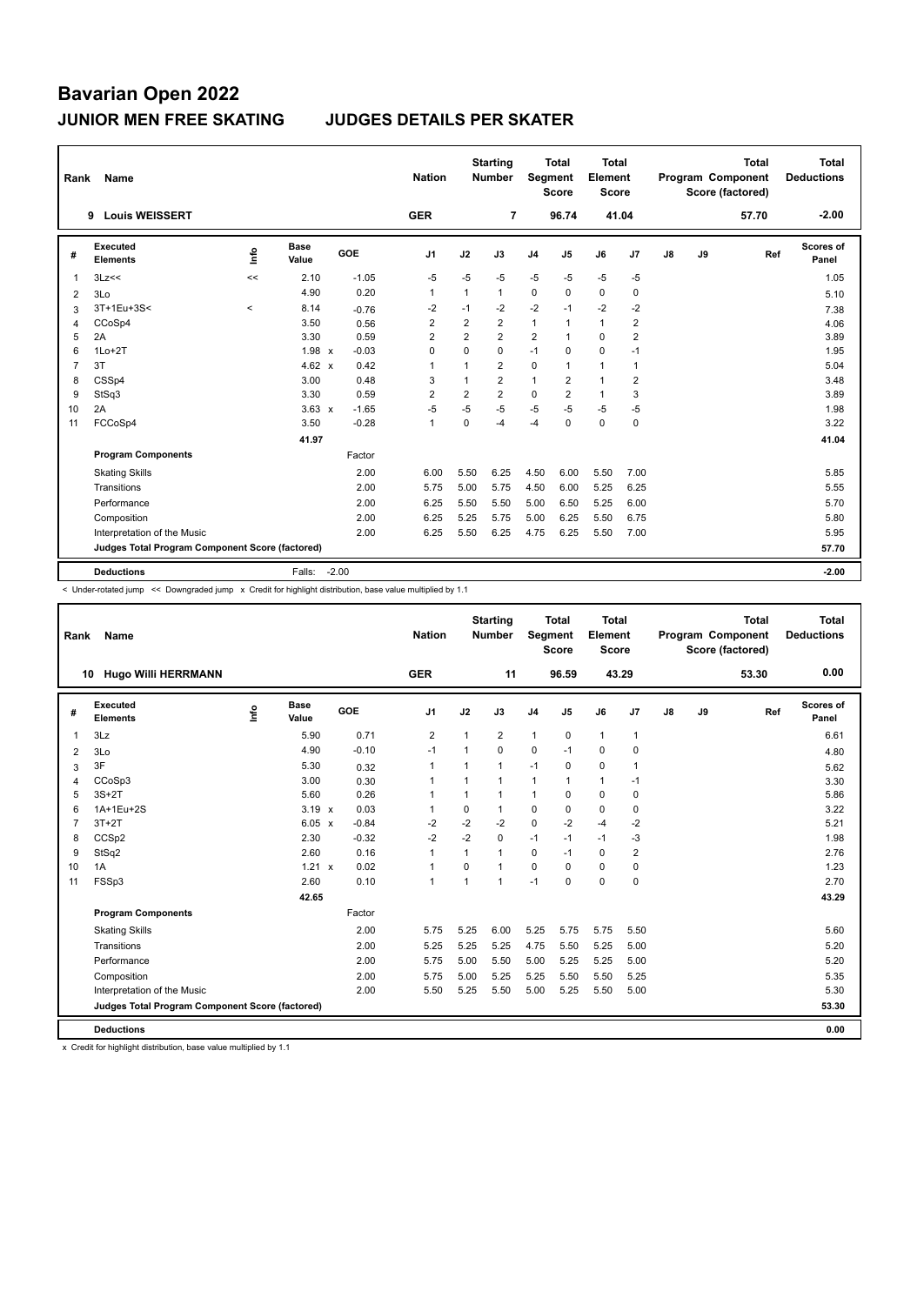| Rank | Name                                            |         |                      |         | <b>Nation</b>  |                | <b>Starting</b><br><b>Number</b> | Segment        | <b>Total</b><br><b>Score</b> | <b>Total</b><br>Element<br><b>Score</b> |                |    |    | <b>Total</b><br><b>Program Component</b><br>Score (factored) | Total<br><b>Deductions</b> |
|------|-------------------------------------------------|---------|----------------------|---------|----------------|----------------|----------------------------------|----------------|------------------------------|-----------------------------------------|----------------|----|----|--------------------------------------------------------------|----------------------------|
|      | <b>Louis WEISSERT</b><br>9                      |         |                      |         | <b>GER</b>     |                | 7                                |                | 96.74                        | 41.04                                   |                |    |    | 57.70                                                        | $-2.00$                    |
| #    | Executed<br><b>Elements</b>                     | ١nf٥    | <b>Base</b><br>Value | GOE     | J <sub>1</sub> | J2             | J3                               | J <sub>4</sub> | J5                           | J6                                      | J7             | J8 | J9 | Ref                                                          | Scores of<br>Panel         |
| 1    | 3Lz<<                                           | <<      | 2.10                 | $-1.05$ | $-5$           | $-5$           | -5                               | $-5$           | $-5$                         | $-5$                                    | $-5$           |    |    |                                                              | 1.05                       |
| 2    | 3Lo                                             |         | 4.90                 | 0.20    | $\mathbf 1$    | $\mathbf{1}$   | $\mathbf{1}$                     | 0              | 0                            | 0                                       | 0              |    |    |                                                              | 5.10                       |
| 3    | 3T+1Eu+3S<                                      | $\,<\,$ | 8.14                 | $-0.76$ | $-2$           | $-1$           | $-2$                             | $-2$           | $-1$                         | $-2$                                    | $-2$           |    |    |                                                              | 7.38                       |
| 4    | CCoSp4                                          |         | 3.50                 | 0.56    | $\overline{2}$ | $\overline{2}$ | 2                                | $\mathbf{1}$   | $\overline{1}$               | $\mathbf{1}$                            | $\overline{2}$ |    |    |                                                              | 4.06                       |
| 5    | 2A                                              |         | 3.30                 | 0.59    | 2              | $\overline{2}$ | $\overline{2}$                   | $\overline{2}$ | $\overline{1}$               | $\Omega$                                | $\overline{2}$ |    |    |                                                              | 3.89                       |
| 6    | $1Lo+2T$                                        |         | $1.98 \times$        | $-0.03$ | $\mathbf 0$    | $\Omega$       | $\Omega$                         | $-1$           | $\Omega$                     | $\mathbf 0$                             | $-1$           |    |    |                                                              | 1.95                       |
| 7    | 3T                                              |         | $4.62 \times$        | 0.42    | $\overline{1}$ | $\mathbf{1}$   | $\overline{2}$                   | $\mathbf 0$    | $\overline{1}$               | $\mathbf{1}$                            | $\overline{1}$ |    |    |                                                              | 5.04                       |
| 8    | CSSp4                                           |         | 3.00                 | 0.48    | 3              | $\mathbf{1}$   | $\overline{2}$                   | 1              | $\overline{2}$               | $\mathbf{1}$                            | $\overline{2}$ |    |    |                                                              | 3.48                       |
| 9    | StSq3                                           |         | 3.30                 | 0.59    | $\overline{2}$ | $\overline{2}$ | $\overline{2}$                   | 0              | $\overline{2}$               | $\mathbf{1}$                            | 3              |    |    |                                                              | 3.89                       |
| 10   | 2A                                              |         | $3.63 \times$        | $-1.65$ | $-5$           | $-5$           | $-5$                             | $-5$           | $-5$                         | $-5$                                    | $-5$           |    |    |                                                              | 1.98                       |
| 11   | FCCoSp4                                         |         | 3.50                 | $-0.28$ | $\mathbf{1}$   | $\Omega$       | -4                               | $-4$           | $\Omega$                     | $\Omega$                                | 0              |    |    |                                                              | 3.22                       |
|      |                                                 |         | 41.97                |         |                |                |                                  |                |                              |                                         |                |    |    |                                                              | 41.04                      |
|      | <b>Program Components</b>                       |         |                      | Factor  |                |                |                                  |                |                              |                                         |                |    |    |                                                              |                            |
|      | <b>Skating Skills</b>                           |         |                      | 2.00    | 6.00           | 5.50           | 6.25                             | 4.50           | 6.00                         | 5.50                                    | 7.00           |    |    |                                                              | 5.85                       |
|      | Transitions                                     |         |                      | 2.00    | 5.75           | 5.00           | 5.75                             | 4.50           | 6.00                         | 5.25                                    | 6.25           |    |    |                                                              | 5.55                       |
|      | Performance                                     |         |                      | 2.00    | 6.25           | 5.50           | 5.50                             | 5.00           | 6.50                         | 5.25                                    | 6.00           |    |    |                                                              | 5.70                       |
|      | Composition                                     |         |                      | 2.00    | 6.25           | 5.25           | 5.75                             | 5.00           | 6.25                         | 5.50                                    | 6.75           |    |    |                                                              | 5.80                       |
|      | Interpretation of the Music                     |         |                      | 2.00    | 6.25           | 5.50           | 6.25                             | 4.75           | 6.25                         | 5.50                                    | 7.00           |    |    |                                                              | 5.95                       |
|      | Judges Total Program Component Score (factored) |         |                      |         |                |                |                                  |                |                              |                                         |                |    |    |                                                              | 57.70                      |
|      | <b>Deductions</b>                               |         | Falls:               | $-2.00$ |                |                |                                  |                |                              |                                         |                |    |    |                                                              | $-2.00$                    |

< Under-rotated jump << Downgraded jump x Credit for highlight distribution, base value multiplied by 1.1

| Rank           | Name                                            |      |                      |            | <b>Nation</b>  |                | <b>Starting</b><br><b>Number</b> | <b>Segment</b> | <b>Total</b><br><b>Score</b> | <b>Total</b><br>Element<br><b>Score</b> |                |    |    | <b>Total</b><br>Program Component<br>Score (factored) | <b>Total</b><br><b>Deductions</b> |
|----------------|-------------------------------------------------|------|----------------------|------------|----------------|----------------|----------------------------------|----------------|------------------------------|-----------------------------------------|----------------|----|----|-------------------------------------------------------|-----------------------------------|
|                | <b>Hugo Willi HERRMANN</b><br>10                |      |                      |            | <b>GER</b>     |                | 11                               |                | 96.59                        | 43.29                                   |                |    |    | 53.30                                                 | 0.00                              |
| #              | Executed<br><b>Elements</b>                     | ١nf٥ | <b>Base</b><br>Value | <b>GOE</b> | J <sub>1</sub> | J2             | J3                               | J <sub>4</sub> | J <sub>5</sub>               | J6                                      | J <sub>7</sub> | J8 | J9 | Ref                                                   | Scores of<br>Panel                |
| 1              | 3Lz                                             |      | 5.90                 | 0.71       | $\overline{2}$ | 1              | $\overline{2}$                   | $\mathbf{1}$   | 0                            | $\mathbf{1}$                            | $\mathbf{1}$   |    |    |                                                       | 6.61                              |
| 2              | 3Lo                                             |      | 4.90                 | $-0.10$    | $-1$           | $\mathbf{1}$   | $\Omega$                         | $\mathbf 0$    | $-1$                         | $\mathbf 0$                             | $\mathbf 0$    |    |    |                                                       | 4.80                              |
| 3              | 3F                                              |      | 5.30                 | 0.32       | 1              |                | $\mathbf{1}$                     | $-1$           | $\Omega$                     | $\mathbf 0$                             | $\mathbf{1}$   |    |    |                                                       | 5.62                              |
| 4              | CCoSp3                                          |      | 3.00                 | 0.30       | 1              |                | $\mathbf{1}$                     | $\mathbf{1}$   | 1                            | $\mathbf{1}$                            | -1             |    |    |                                                       | 3.30                              |
| 5              | $3S+2T$                                         |      | 5.60                 | 0.26       |                |                | $\mathbf{1}$                     | $\mathbf{1}$   | $\Omega$                     | $\mathbf 0$                             | 0              |    |    |                                                       | 5.86                              |
| 6              | 1A+1Eu+2S                                       |      | $3.19 \times$        | 0.03       | 1              | 0              | 1                                | 0              | 0                            | 0                                       | 0              |    |    |                                                       | 3.22                              |
| $\overline{7}$ | $3T+2T$                                         |      | $6.05 \times$        | $-0.84$    | $-2$           | $-2$           | $-2$                             | $\mathbf 0$    | $-2$                         | $-4$                                    | $-2$           |    |    |                                                       | 5.21                              |
| 8              | CCS <sub>p2</sub>                               |      | 2.30                 | $-0.32$    | $-2$           | $-2$           | 0                                | $-1$           | $-1$                         | $-1$                                    | $-3$           |    |    |                                                       | 1.98                              |
| 9              | StSq2                                           |      | 2.60                 | 0.16       | 1              | $\mathbf{1}$   | $\mathbf{1}$                     | 0              | $-1$                         | $\mathbf 0$                             | 2              |    |    |                                                       | 2.76                              |
| 10             | 1A                                              |      | 1.21 x               | 0.02       | 1              | $\Omega$       | $\mathbf{1}$                     | $\mathbf 0$    | $\Omega$                     | $\mathbf 0$                             | 0              |    |    |                                                       | 1.23                              |
| 11             | FSSp3                                           |      | 2.60                 | 0.10       | $\mathbf{1}$   | $\overline{ }$ | $\mathbf{1}$                     | $-1$           | $\Omega$                     | 0                                       | $\mathbf 0$    |    |    |                                                       | 2.70                              |
|                |                                                 |      | 42.65                |            |                |                |                                  |                |                              |                                         |                |    |    |                                                       | 43.29                             |
|                | <b>Program Components</b>                       |      |                      | Factor     |                |                |                                  |                |                              |                                         |                |    |    |                                                       |                                   |
|                | <b>Skating Skills</b>                           |      |                      | 2.00       | 5.75           | 5.25           | 6.00                             | 5.25           | 5.75                         | 5.75                                    | 5.50           |    |    |                                                       | 5.60                              |
|                | Transitions                                     |      |                      | 2.00       | 5.25           | 5.25           | 5.25                             | 4.75           | 5.50                         | 5.25                                    | 5.00           |    |    |                                                       | 5.20                              |
|                | Performance                                     |      |                      | 2.00       | 5.75           | 5.00           | 5.50                             | 5.00           | 5.25                         | 5.25                                    | 5.00           |    |    |                                                       | 5.20                              |
|                | Composition                                     |      |                      | 2.00       | 5.75           | 5.00           | 5.25                             | 5.25           | 5.50                         | 5.50                                    | 5.25           |    |    |                                                       | 5.35                              |
|                | Interpretation of the Music                     |      |                      | 2.00       | 5.50           | 5.25           | 5.50                             | 5.00           | 5.25                         | 5.50                                    | 5.00           |    |    |                                                       | 5.30                              |
|                | Judges Total Program Component Score (factored) |      |                      |            |                |                |                                  |                |                              |                                         |                |    |    |                                                       | 53.30                             |
|                | <b>Deductions</b>                               |      |                      |            |                |                |                                  |                |                              |                                         |                |    |    |                                                       | 0.00                              |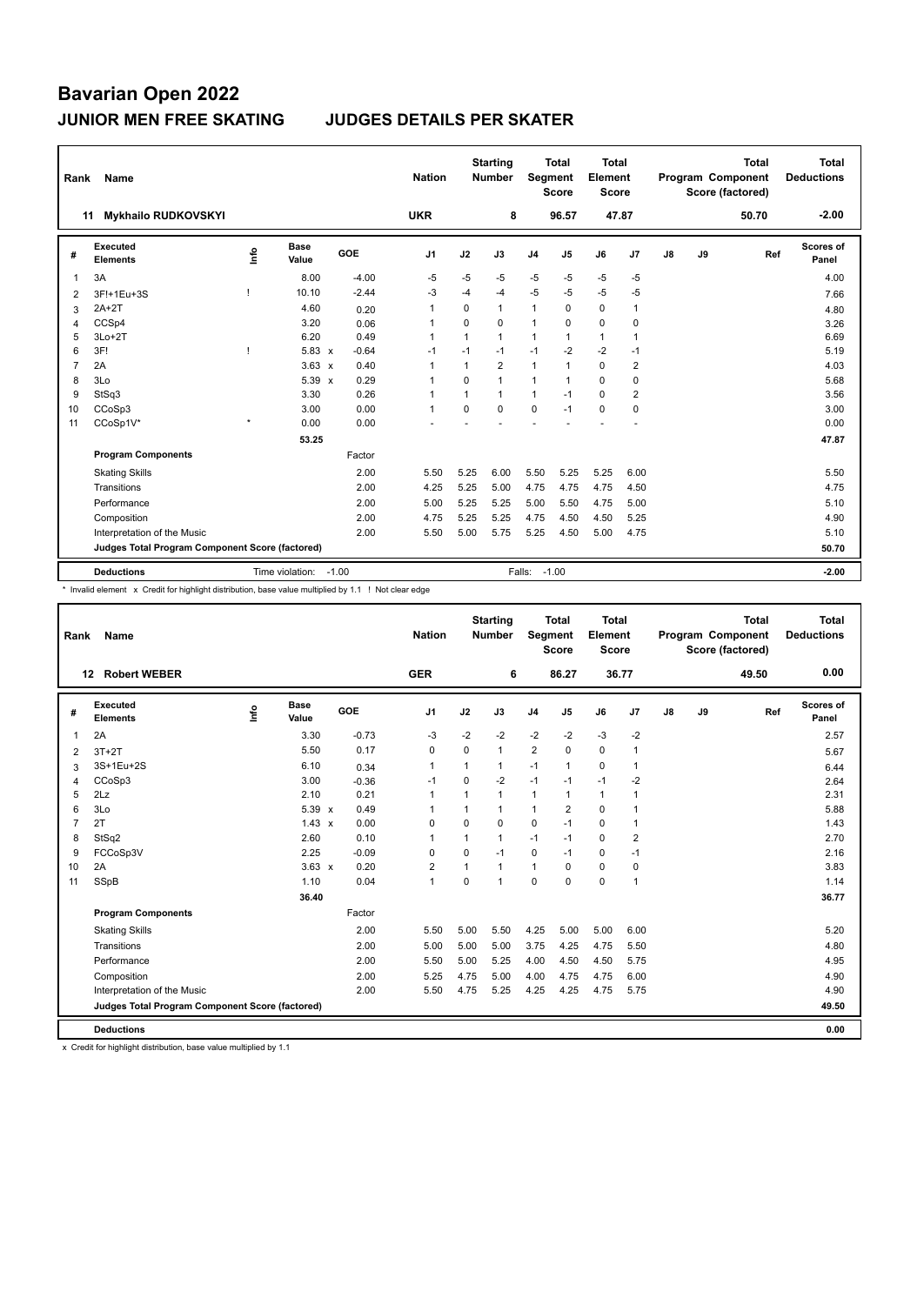| Rank           | Name                                            |         |                       |         | <b>Nation</b>  |          | <b>Starting</b><br><b>Number</b> | <b>Segment</b> | <b>Total</b><br><b>Score</b> | <b>Total</b><br>Element<br><b>Score</b> |                |    |    | <b>Total</b><br>Program Component<br>Score (factored) | <b>Total</b><br><b>Deductions</b> |
|----------------|-------------------------------------------------|---------|-----------------------|---------|----------------|----------|----------------------------------|----------------|------------------------------|-----------------------------------------|----------------|----|----|-------------------------------------------------------|-----------------------------------|
|                | <b>Mykhailo RUDKOVSKYI</b><br>11                |         |                       |         | <b>UKR</b>     |          | 8                                |                | 96.57                        |                                         | 47.87          |    |    | 50.70                                                 | $-2.00$                           |
| #              | Executed<br><b>Elements</b>                     | ۴ů      | <b>Base</b><br>Value  | GOE     | J <sub>1</sub> | J2       | J3                               | J <sub>4</sub> | J <sub>5</sub>               | J6                                      | J <sub>7</sub> | J8 | J9 | Ref                                                   | <b>Scores of</b><br>Panel         |
| 1              | 3A                                              |         | 8.00                  | $-4.00$ | $-5$           | $-5$     | $-5$                             | $-5$           | $-5$                         | $-5$                                    | $-5$           |    |    |                                                       | 4.00                              |
| 2              | 3F!+1Eu+3S                                      |         | 10.10                 | $-2.44$ | -3             | $-4$     | $-4$                             | $-5$           | $-5$                         | $-5$                                    | $-5$           |    |    |                                                       | 7.66                              |
| 3              | $2A+2T$                                         |         | 4.60                  | 0.20    | $\overline{1}$ | 0        | $\mathbf{1}$                     | $\mathbf{1}$   | 0                            | 0                                       | $\overline{1}$ |    |    |                                                       | 4.80                              |
| 4              | CCSp4                                           |         | 3.20                  | 0.06    | $\overline{1}$ | $\Omega$ | $\mathbf 0$                      | $\mathbf{1}$   | $\Omega$                     | $\mathbf 0$                             | 0              |    |    |                                                       | 3.26                              |
| 5              | $3Lo+2T$                                        |         | 6.20                  | 0.49    | $\overline{1}$ | 1        | $\mathbf{1}$                     | $\mathbf{1}$   | 1                            | $\mathbf{1}$                            | $\overline{1}$ |    |    |                                                       | 6.69                              |
| 6              | 3F!                                             | п       | $5.83 \times$         | $-0.64$ | $-1$           | $-1$     | $-1$                             | $-1$           | $-2$                         | $-2$                                    | $-1$           |    |    |                                                       | 5.19                              |
| $\overline{7}$ | 2A                                              |         | $3.63 \times$         | 0.40    | $\overline{1}$ | 1        | $\overline{2}$                   | $\mathbf{1}$   | 1                            | $\mathbf 0$                             | $\overline{2}$ |    |    |                                                       | 4.03                              |
| 8              | 3Lo                                             |         | 5.39 x                | 0.29    | $\overline{1}$ | $\Omega$ | $\mathbf{1}$                     | $\mathbf{1}$   | $\mathbf 1$                  | $\Omega$                                | 0              |    |    |                                                       | 5.68                              |
| 9              | StSq3                                           |         | 3.30                  | 0.26    | $\overline{1}$ | 1        | $\mathbf{1}$                     | $\mathbf{1}$   | $-1$                         | $\mathbf 0$                             | $\overline{2}$ |    |    |                                                       | 3.56                              |
| 10             | CCoSp3                                          |         | 3.00                  | 0.00    | $\overline{1}$ | $\Omega$ | $\Omega$                         | $\mathbf 0$    | $-1$                         | $\Omega$                                | $\mathbf 0$    |    |    |                                                       | 3.00                              |
| 11             | CCoSp1V*                                        | $\star$ | 0.00                  | 0.00    |                |          |                                  |                |                              |                                         |                |    |    |                                                       | 0.00                              |
|                |                                                 |         | 53.25                 |         |                |          |                                  |                |                              |                                         |                |    |    |                                                       | 47.87                             |
|                | <b>Program Components</b>                       |         |                       | Factor  |                |          |                                  |                |                              |                                         |                |    |    |                                                       |                                   |
|                | <b>Skating Skills</b>                           |         |                       | 2.00    | 5.50           | 5.25     | 6.00                             | 5.50           | 5.25                         | 5.25                                    | 6.00           |    |    |                                                       | 5.50                              |
|                | Transitions                                     |         |                       | 2.00    | 4.25           | 5.25     | 5.00                             | 4.75           | 4.75                         | 4.75                                    | 4.50           |    |    |                                                       | 4.75                              |
|                | Performance                                     |         |                       | 2.00    | 5.00           | 5.25     | 5.25                             | 5.00           | 5.50                         | 4.75                                    | 5.00           |    |    |                                                       | 5.10                              |
|                | Composition                                     |         |                       | 2.00    | 4.75           | 5.25     | 5.25                             | 4.75           | 4.50                         | 4.50                                    | 5.25           |    |    |                                                       | 4.90                              |
|                | Interpretation of the Music                     |         |                       | 2.00    | 5.50           | 5.00     | 5.75                             | 5.25           | 4.50                         | 5.00                                    | 4.75           |    |    |                                                       | 5.10                              |
|                | Judges Total Program Component Score (factored) |         |                       |         |                |          |                                  |                |                              |                                         |                |    |    |                                                       | 50.70                             |
|                | <b>Deductions</b>                               |         | Time violation: -1.00 |         |                |          |                                  | Falls: -1.00   |                              |                                         |                |    |    |                                                       | $-2.00$                           |

\* Invalid element x Credit for highlight distribution, base value multiplied by 1.1 ! Not clear edge

| Rank           | Name                                            |      |                      |         | <b>Nation</b>  |                | <b>Starting</b><br><b>Number</b> | Segment        | <b>Total</b><br><b>Score</b> | Total<br>Element<br><b>Score</b> |                |    |    | <b>Total</b><br>Program Component<br>Score (factored) | <b>Total</b><br><b>Deductions</b> |
|----------------|-------------------------------------------------|------|----------------------|---------|----------------|----------------|----------------------------------|----------------|------------------------------|----------------------------------|----------------|----|----|-------------------------------------------------------|-----------------------------------|
|                | <b>Robert WEBER</b><br>12                       |      |                      |         | <b>GER</b>     |                | 6                                |                | 86.27                        | 36.77                            |                |    |    | 49.50                                                 | 0.00                              |
| #              | Executed<br><b>Elements</b>                     | lnfo | <b>Base</b><br>Value | GOE     | J1             | J2             | J3                               | J <sub>4</sub> | J5                           | J6                               | J7             | J8 | J9 | Ref                                                   | Scores of<br>Panel                |
| $\mathbf{1}$   | 2A                                              |      | 3.30                 | $-0.73$ | -3             | $-2$           | $-2$                             | $-2$           | $-2$                         | $-3$                             | $-2$           |    |    |                                                       | 2.57                              |
| 2              | $3T+2T$                                         |      | 5.50                 | 0.17    | 0              | 0              | $\mathbf{1}$                     | $\overline{2}$ | $\mathbf 0$                  | $\mathbf 0$                      | 1              |    |    |                                                       | 5.67                              |
| 3              | 3S+1Eu+2S                                       |      | 6.10                 | 0.34    | 1              | 1              | 1                                | $-1$           | $\mathbf{1}$                 | $\pmb{0}$                        | 1              |    |    |                                                       | 6.44                              |
| $\overline{4}$ | CCoSp3                                          |      | 3.00                 | $-0.36$ | $-1$           | $\Omega$       | $-2$                             | $-1$           | $-1$                         | $-1$                             | $-2$           |    |    |                                                       | 2.64                              |
| 5              | 2Lz                                             |      | 2.10                 | 0.21    | 1              |                | 1                                | $\mathbf{1}$   | 1                            | $\mathbf{1}$                     | 1              |    |    |                                                       | 2.31                              |
| 6              | 3Lo                                             |      | $5.39 \times$        | 0.49    | 1              | 1              | 1                                | $\mathbf{1}$   | $\overline{2}$               | $\Omega$                         | 1              |    |    |                                                       | 5.88                              |
| $\overline{7}$ | 2T                                              |      | $1.43 \times$        | 0.00    | $\mathbf 0$    | 0              | 0                                | $\mathbf 0$    | $-1$                         | $\mathbf 0$                      | 1              |    |    |                                                       | 1.43                              |
| 8              | StSq2                                           |      | 2.60                 | 0.10    | 1              | $\overline{1}$ | $\mathbf{1}$                     | $-1$           | $-1$                         | $\mathbf 0$                      | $\overline{2}$ |    |    |                                                       | 2.70                              |
| 9              | FCCoSp3V                                        |      | 2.25                 | $-0.09$ | $\Omega$       | 0              | $-1$                             | 0              | $-1$                         | $\mathbf 0$                      | $-1$           |    |    |                                                       | 2.16                              |
| 10             | 2A                                              |      | $3.63 \times$        | 0.20    | $\overline{2}$ | 1              | 1                                | $\mathbf{1}$   | $\Omega$                     | 0                                | 0              |    |    |                                                       | 3.83                              |
| 11             | SSpB                                            |      | 1.10                 | 0.04    | 1              | $\Omega$       | 1                                | $\mathbf 0$    | $\Omega$                     | $\mathbf 0$                      | $\overline{1}$ |    |    |                                                       | 1.14                              |
|                |                                                 |      | 36.40                |         |                |                |                                  |                |                              |                                  |                |    |    |                                                       | 36.77                             |
|                | <b>Program Components</b>                       |      |                      | Factor  |                |                |                                  |                |                              |                                  |                |    |    |                                                       |                                   |
|                | <b>Skating Skills</b>                           |      |                      | 2.00    | 5.50           | 5.00           | 5.50                             | 4.25           | 5.00                         | 5.00                             | 6.00           |    |    |                                                       | 5.20                              |
|                | Transitions                                     |      |                      | 2.00    | 5.00           | 5.00           | 5.00                             | 3.75           | 4.25                         | 4.75                             | 5.50           |    |    |                                                       | 4.80                              |
|                | Performance                                     |      |                      | 2.00    | 5.50           | 5.00           | 5.25                             | 4.00           | 4.50                         | 4.50                             | 5.75           |    |    |                                                       | 4.95                              |
|                | Composition                                     |      |                      | 2.00    | 5.25           | 4.75           | 5.00                             | 4.00           | 4.75                         | 4.75                             | 6.00           |    |    |                                                       | 4.90                              |
|                | Interpretation of the Music                     |      |                      | 2.00    | 5.50           | 4.75           | 5.25                             | 4.25           | 4.25                         | 4.75                             | 5.75           |    |    |                                                       | 4.90                              |
|                | Judges Total Program Component Score (factored) |      |                      |         |                |                |                                  |                |                              |                                  |                |    |    |                                                       | 49.50                             |
|                | <b>Deductions</b>                               |      |                      |         |                |                |                                  |                |                              |                                  |                |    |    |                                                       | 0.00                              |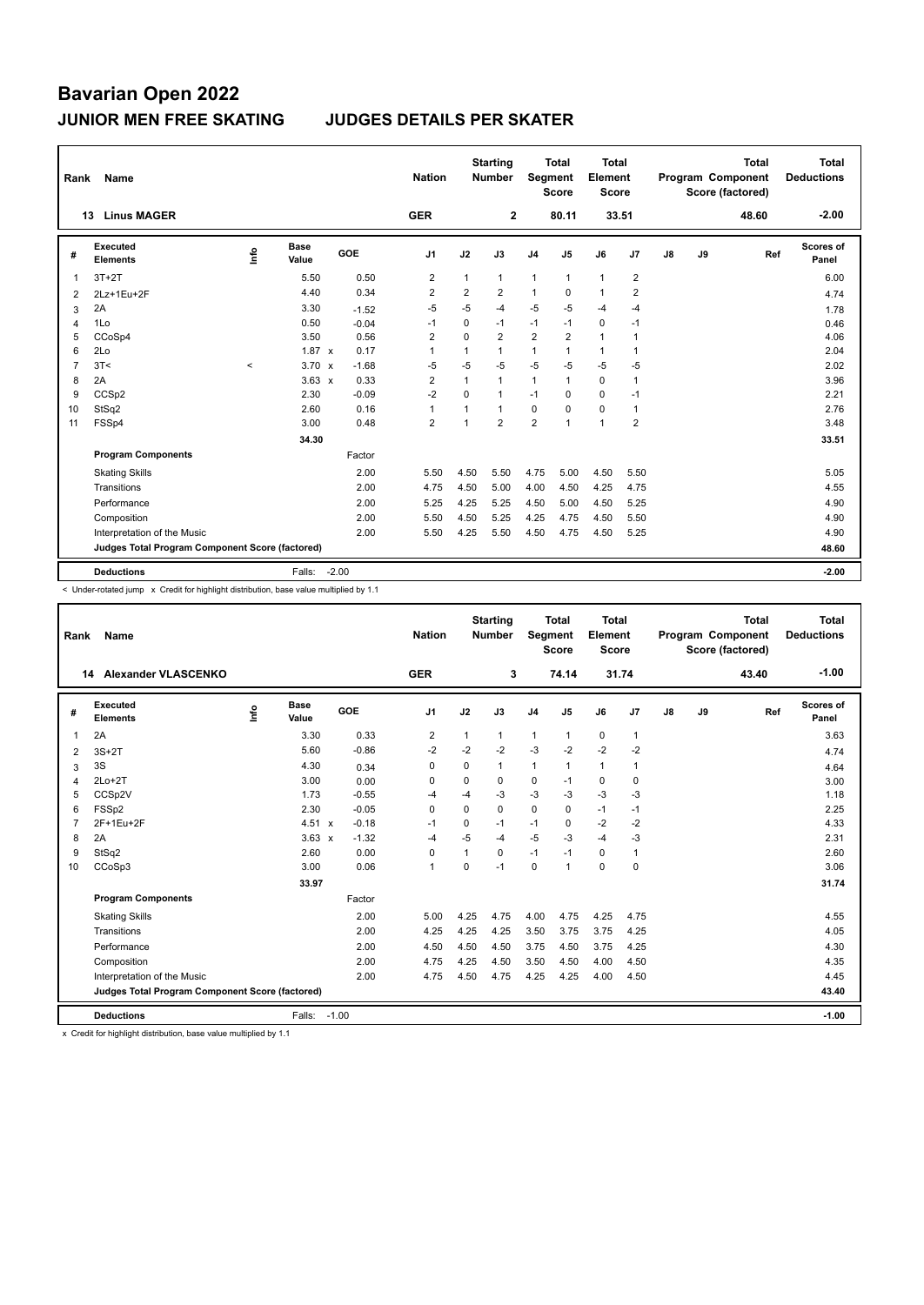| Rank           | Name                                                     |                     |                      |            | <b>Nation</b>  |                | <b>Starting</b><br>Number | Segment        | Total<br><b>Score</b> | <b>Total</b><br>Element<br>Score |                |               |    | <b>Total</b><br>Program Component<br>Score (factored) | <b>Total</b><br><b>Deductions</b> |
|----------------|----------------------------------------------------------|---------------------|----------------------|------------|----------------|----------------|---------------------------|----------------|-----------------------|----------------------------------|----------------|---------------|----|-------------------------------------------------------|-----------------------------------|
|                | <b>Linus MAGER</b><br>13                                 |                     |                      |            | <b>GER</b>     |                | $\mathbf{2}$              |                | 80.11                 | 33.51                            |                |               |    | 48.60                                                 | $-2.00$                           |
| #              | <b>Executed</b><br><b>Elements</b>                       | lnfo                | <b>Base</b><br>Value | <b>GOE</b> | J <sub>1</sub> | J2             | J3                        | J <sub>4</sub> | J <sub>5</sub>        | J6                               | J <sub>7</sub> | $\mathsf{J}8$ | J9 | Ref                                                   | Scores of<br>Panel                |
| 1              | $3T+2T$                                                  |                     | 5.50                 | 0.50       | $\overline{2}$ | 1              | $\mathbf{1}$              | $\mathbf{1}$   | $\mathbf{1}$          | $\mathbf{1}$                     | $\overline{2}$ |               |    |                                                       | 6.00                              |
| 2              | 2Lz+1Eu+2F                                               |                     | 4.40                 | 0.34       | $\overline{2}$ | 2              | $\overline{2}$            | $\mathbf{1}$   | 0                     | $\mathbf{1}$                     | $\overline{2}$ |               |    |                                                       | 4.74                              |
| 3              | 2A                                                       |                     | 3.30                 | $-1.52$    | $-5$           | $-5$           | $-4$                      | $-5$           | $-5$                  | $-4$                             | -4             |               |    |                                                       | 1.78                              |
| $\overline{4}$ | 1Lo                                                      |                     | 0.50                 | $-0.04$    | $-1$           | $\Omega$       | $-1$                      | $-1$           | $-1$                  | $\mathbf 0$                      | $-1$           |               |    |                                                       | 0.46                              |
| 5              | CCoSp4                                                   |                     | 3.50                 | 0.56       | $\overline{2}$ | $\Omega$       | $\overline{2}$            | $\overline{2}$ | $\overline{2}$        | $\mathbf{1}$                     | $\overline{1}$ |               |    |                                                       | 4.06                              |
| 6              | 2Lo                                                      |                     | $1.87 \times$        | 0.17       | $\overline{1}$ | 1              | $\mathbf{1}$              | $\mathbf{1}$   | $\mathbf{1}$          | $\mathbf{1}$                     | $\overline{1}$ |               |    |                                                       | 2.04                              |
| $\overline{7}$ | 3T<                                                      | $\hat{\phantom{a}}$ | $3.70 \times$        | $-1.68$    | $-5$           | $-5$           | $-5$                      | $-5$           | $-5$                  | $-5$                             | $-5$           |               |    |                                                       | 2.02                              |
| 8              | 2A                                                       |                     | $3.63 \times$        | 0.33       | $\overline{2}$ | 1              | $\mathbf{1}$              | $\mathbf{1}$   | $\mathbf{1}$          | 0                                | $\overline{1}$ |               |    |                                                       | 3.96                              |
| 9              | CCSp2                                                    |                     | 2.30                 | $-0.09$    | $-2$           | $\Omega$       | $\mathbf{1}$              | $-1$           | 0                     | 0                                | $-1$           |               |    |                                                       | 2.21                              |
| 10             | StSq2                                                    |                     | 2.60                 | 0.16       | $\overline{1}$ | 1              | $\mathbf{1}$              | $\mathbf 0$    | $\Omega$              | 0                                | $\overline{1}$ |               |    |                                                       | 2.76                              |
| 11             | FSSp4                                                    |                     | 3.00                 | 0.48       | $\overline{2}$ | $\overline{1}$ | $\overline{2}$            | $\overline{2}$ | $\mathbf{1}$          | $\mathbf{1}$                     | $\overline{2}$ |               |    |                                                       | 3.48                              |
|                |                                                          |                     | 34.30                |            |                |                |                           |                |                       |                                  |                |               |    |                                                       | 33.51                             |
|                | <b>Program Components</b>                                |                     |                      | Factor     |                |                |                           |                |                       |                                  |                |               |    |                                                       |                                   |
|                | <b>Skating Skills</b>                                    |                     |                      | 2.00       | 5.50           | 4.50           | 5.50                      | 4.75           | 5.00                  | 4.50                             | 5.50           |               |    |                                                       | 5.05                              |
|                | Transitions                                              |                     |                      | 2.00       | 4.75           | 4.50           | 5.00                      | 4.00           | 4.50                  | 4.25                             | 4.75           |               |    |                                                       | 4.55                              |
|                | Performance                                              |                     |                      | 2.00       | 5.25           | 4.25           | 5.25                      | 4.50           | 5.00                  | 4.50                             | 5.25           |               |    |                                                       | 4.90                              |
|                | Composition                                              |                     |                      | 2.00       | 5.50           | 4.50           | 5.25                      | 4.25           | 4.75                  | 4.50                             | 5.50           |               |    |                                                       | 4.90                              |
|                | Interpretation of the Music                              |                     |                      | 2.00       | 5.50           | 4.25           | 5.50                      | 4.50           | 4.75                  | 4.50                             | 5.25           |               |    |                                                       | 4.90                              |
|                | Judges Total Program Component Score (factored)<br>48.60 |                     |                      |            |                |                |                           |                |                       |                                  |                |               |    |                                                       |                                   |
|                | <b>Deductions</b>                                        |                     | Falls:               | $-2.00$    |                |                |                           |                |                       |                                  |                |               |    |                                                       | $-2.00$                           |

< Under-rotated jump x Credit for highlight distribution, base value multiplied by 1.1

| Rank                                            | Name                        |      |                      |         | <b>Nation</b>  |          | <b>Starting</b><br><b>Number</b> | Segment        | <b>Total</b><br><b>Score</b> | <b>Total</b><br>Element<br><b>Score</b> |              |    |       | <b>Total</b><br>Program Component<br>Score (factored) | <b>Total</b><br><b>Deductions</b> |
|-------------------------------------------------|-----------------------------|------|----------------------|---------|----------------|----------|----------------------------------|----------------|------------------------------|-----------------------------------------|--------------|----|-------|-------------------------------------------------------|-----------------------------------|
|                                                 | Alexander VLASCENKO<br>14   |      |                      |         | <b>GER</b>     |          | 3                                |                | 74.14                        | 31.74                                   |              |    |       | 43.40                                                 | $-1.00$                           |
| #                                               | Executed<br><b>Elements</b> | lnfo | <b>Base</b><br>Value | GOE     | J <sub>1</sub> | J2       | J3                               | J <sub>4</sub> | J5                           | J6                                      | J7           | J8 | J9    | Ref                                                   | Scores of<br>Panel                |
| $\mathbf{1}$                                    | 2A                          |      | 3.30                 | 0.33    | 2              | 1        | $\mathbf{1}$                     | $\mathbf{1}$   | 1                            | $\mathbf 0$                             | $\mathbf{1}$ |    |       |                                                       | 3.63                              |
| 2                                               | $3S+2T$                     |      | 5.60                 | $-0.86$ | $-2$           | $-2$     | $-2$                             | $-3$           | $-2$                         | $-2$                                    | $-2$         |    |       |                                                       | 4.74                              |
| 3                                               | 3S                          |      | 4.30                 | 0.34    | 0              | $\Omega$ | 1                                | $\mathbf{1}$   | 1                            | $\mathbf{1}$                            | $\mathbf{1}$ |    |       |                                                       | 4.64                              |
| 4                                               | $2Lo+2T$                    |      | 3.00                 | 0.00    | 0              | 0        | 0                                | $\mathbf 0$    | $-1$                         | $\mathbf 0$                             | $\mathbf 0$  |    |       |                                                       | 3.00                              |
| 5                                               | CCSp2V                      |      | 1.73                 | $-0.55$ | $-4$           | $-4$     | $-3$                             | $-3$           | $-3$                         | $-3$                                    | $-3$         |    |       |                                                       | 1.18                              |
| 6                                               | FSSp2                       |      | 2.30                 | $-0.05$ | $\mathbf 0$    | $\Omega$ | 0                                | $\pmb{0}$      | $\Omega$                     | $-1$                                    | $-1$         |    |       |                                                       | 2.25                              |
| $\overline{7}$                                  | 2F+1Eu+2F                   |      | 4.51 x               | $-0.18$ | $-1$           | $\Omega$ | $-1$                             | $-1$           | $\Omega$                     | $-2$                                    | $-2$         |    |       |                                                       | 4.33                              |
| 8                                               | 2A                          |      | $3.63 \times$        | $-1.32$ | $-4$           | $-5$     | $-4$                             | $-5$           | $-3$                         | $-4$                                    | $-3$         |    |       |                                                       | 2.31                              |
| 9                                               | StSq2                       |      | 2.60                 | 0.00    | 0              | 1        | 0                                | $-1$           | $-1$                         | $\mathbf 0$                             | $\mathbf{1}$ |    |       |                                                       | 2.60                              |
| 10                                              | CCoSp3                      |      | 3.00                 | 0.06    | $\mathbf{1}$   | $\Omega$ | $-1$                             | $\mathbf 0$    | 1                            | $\mathbf 0$                             | $\mathbf 0$  |    |       |                                                       | 3.06                              |
|                                                 |                             |      | 33.97                |         |                |          |                                  |                |                              |                                         |              |    |       |                                                       | 31.74                             |
|                                                 | <b>Program Components</b>   |      |                      | Factor  |                |          |                                  |                |                              |                                         |              |    |       |                                                       |                                   |
|                                                 | <b>Skating Skills</b>       |      |                      | 2.00    | 5.00           | 4.25     | 4.75                             | 4.00           | 4.75                         | 4.25                                    | 4.75         |    |       |                                                       | 4.55                              |
|                                                 | Transitions                 |      |                      | 2.00    | 4.25           | 4.25     | 4.25                             | 3.50           | 3.75                         | 3.75                                    | 4.25         |    |       |                                                       | 4.05                              |
|                                                 | Performance                 |      |                      | 2.00    | 4.50           | 4.50     | 4.50                             | 3.75           | 4.50                         | 3.75                                    | 4.25         |    |       |                                                       | 4.30                              |
|                                                 | Composition                 |      |                      | 2.00    | 4.75           | 4.25     | 4.50                             | 3.50           | 4.50                         | 4.00                                    | 4.50         |    |       |                                                       | 4.35                              |
|                                                 | Interpretation of the Music |      |                      | 2.00    | 4.75           | 4.50     | 4.75                             | 4.25           | 4.25                         | 4.00                                    | 4.50         |    |       |                                                       | 4.45                              |
| Judges Total Program Component Score (factored) |                             |      |                      |         |                |          |                                  |                |                              |                                         |              |    | 43.40 |                                                       |                                   |
|                                                 | <b>Deductions</b>           |      | Falls:               | $-1.00$ |                |          |                                  |                |                              |                                         |              |    |       |                                                       | $-1.00$                           |